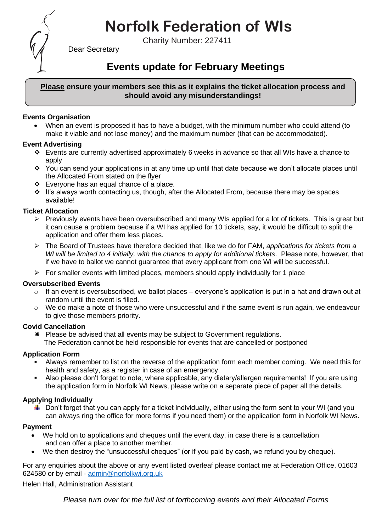# **Norfolk Federation of WIs**

Charity Number: 227411



Dear Secretary

# **Events update for February Meetings**

# **Please ensure your members see this as it explains the ticket allocation process and should avoid any misunderstandings!**

# **Events Organisation**

• When an event is proposed it has to have a budget, with the minimum number who could attend (to make it viable and not lose money) and the maximum number (that can be accommodated).

#### **Event Advertising**

- ❖ Events are currently advertised approximately 6 weeks in advance so that all WIs have a chance to apply
- ❖ You can send your applications in at any time up until that date because we don't allocate places until the Allocated From stated on the flyer
- ❖ Everyone has an equal chance of a place.
- ❖ It's always worth contacting us, though, after the Allocated From, because there may be spaces available!

#### **Ticket Allocation**

- $\triangleright$  Previously events have been oversubscribed and many WIs applied for a lot of tickets. This is great but it can cause a problem because if a WI has applied for 10 tickets, say, it would be difficult to split the application and offer them less places.
- ➢ The Board of Trustees have therefore decided that, like we do for FAM, *applications for tickets from a WI will be limited to 4 initially, with the chance to apply for additional tickets*. Please note, however, that if we have to ballot we cannot guarantee that every applicant from one WI will be successful.
- $\triangleright$  For smaller events with limited places, members should apply individually for 1 place

# **Oversubscribed Events**

- $\circ$  If an event is oversubscribed, we ballot places everyone's application is put in a hat and drawn out at random until the event is filled.
- $\circ$  We do make a note of those who were unsuccessful and if the same event is run again, we endeavour to give those members priority.

#### **Covid Cancellation**

 $*$  Please be advised that all events may be subject to Government regulations. The Federation cannot be held responsible for events that are cancelled or postponed

#### **Application Form**

- Always remember to list on the reverse of the application form each member coming. We need this for health and safety, as a register in case of an emergency.
- Also please don't forget to note, where applicable, any dietary/allergen requirements! If you are using the application form in Norfolk WI News, please write on a separate piece of paper all the details.

# **Applying Individually**

 $\downarrow$  Don't forget that you can apply for a ticket individually, either using the form sent to your WI (and you can always ring the office for more forms if you need them) or the application form in Norfolk WI News.

#### **Payment**

- We hold on to applications and cheques until the event day, in case there is a cancellation and can offer a place to another member.
- We then destroy the "unsuccessful cheques" (or if you paid by cash, we refund you by cheque).

For any enquiries about the above or any event listed overleaf please contact me at Federation Office, 01603 624580 or by email - [admin@norfolkwi.org.uk](mailto:admin@norfolkwi.org.uk) 

Helen Hall, Administration Assistant

*Please turn over for the full list of forthcoming events and their Allocated Forms*